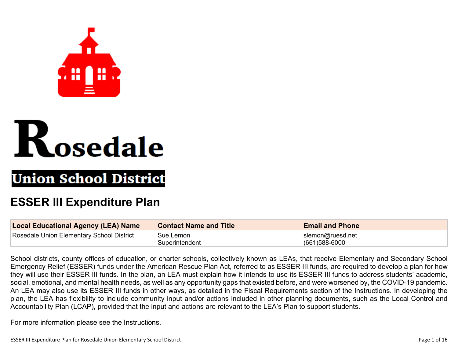



# **Union School District**

## **ESSER III Expenditure Plan**

| <b>Local Educational Agency (LEA) Name</b> | <b>Contact Name and Title</b> | <b>Email and Phone</b>                |
|--------------------------------------------|-------------------------------|---------------------------------------|
| Rosedale Union Elementary School District  | Sue Lemon<br>Superintendent   | slemon@ruesd.net<br>$(661)588 - 6000$ |

School districts, county offices of education, or charter schools, collectively known as LEAs, that receive Elementary and Secondary School Emergency Relief (ESSER) funds under the American Rescue Plan Act, referred to as ESSER III funds, are required to develop a plan for how they will use their ESSER III funds. In the plan, an LEA must explain how it intends to use its ESSER III funds to address students' academic, social, emotional, and mental health needs, as well as any opportunity gaps that existed before, and were worsened by, the COVID-19 pandemic. An LEA may also use its ESSER III funds in other ways, as detailed in the Fiscal Requirements section of the Instructions. In developing the plan, the LEA has flexibility to include community input and/or actions included in other planning documents, such as the Local Control and Accountability Plan (LCAP), provided that the input and actions are relevant to the LEA's Plan to support students.

For more information please see the Instructions.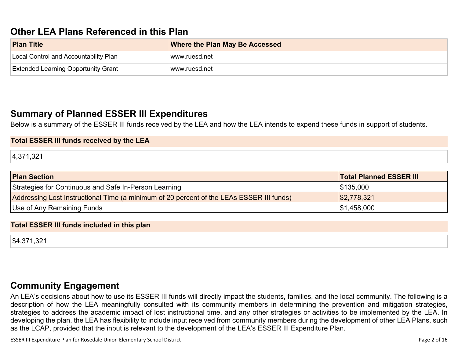## **Other LEA Plans [Referenced](#page-10-0) in this Plan**

| <b>Plan Title</b>                          | <b>Where the Plan May Be Accessed</b> |
|--------------------------------------------|---------------------------------------|
| Local Control and Accountability Plan      | ⊺www.ruesd.net                        |
| <b>Extended Learning Opportunity Grant</b> | www.ruesd.net                         |

### **Summary of Planned ESSER III [Expenditures](#page-10-1)**

Below is a summary of the ESSER III funds received by the LEA and how the LEA intends to expend these funds in support of students.

### **Total ESSER III funds received by the LEA**

4,371,321

| <b>Plan Section</b>                                                                      | <b>Total Planned ESSER III</b> |
|------------------------------------------------------------------------------------------|--------------------------------|
| Strategies for Continuous and Safe In-Person Learning                                    | \$135,000                      |
| Addressing Lost Instructional Time (a minimum of 20 percent of the LEAs ESSER III funds) | \$2,778,321                    |
| Use of Any Remaining Funds                                                               | \$1,458,000                    |

#### **Total ESSER III funds included in this plan**

\$4,371,321

### **Community [Engagement](#page-11-0)**

An LEA's decisions about how to use its ESSER III funds will directly impact the students, families, and the local community. The following is a description of how the LEA meaningfully consulted with its community members in determining the prevention and mitigation strategies, strategies to address the academic impact of lost instructional time, and any other strategies or activities to be implemented by the LEA. In developing the plan, the LEA has flexibility to include input received from community members during the development of other LEA Plans, such as the LCAP, provided that the input is relevant to the development of the LEA's ESSER III Expenditure Plan.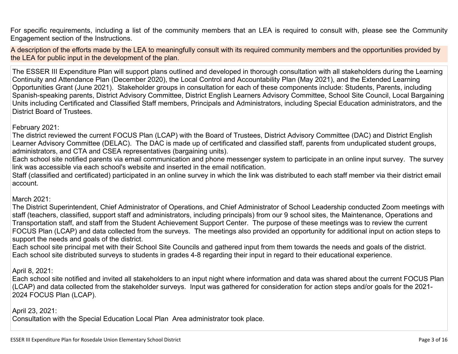For specific requirements, including a list of the community members that an LEA is required to consult with, please see the Community Engagement section of the Instructions.

A description of the efforts made by the LEA to meaningfully consult with its required community members and the opportunities provided by the LEA for public input in the development of the plan.

The ESSER III Expenditure Plan will support plans outlined and developed in thorough consultation with all stakeholders during the Learning Continuity and Attendance Plan (December 2020), the Local Control and Accountability Plan (May 2021), and the Extended Learning Opportunities Grant (June 2021). Stakeholder groups in consultation for each of these components include: Students, Parents, including Spanish-speaking parents, District Advisory Committee, District English Learners Advisory Committee, School Site Council, Local Bargaining Units including Certificated and Classified Staff members, Principals and Administrators, including Special Education administrators, and the District Board of Trustees.

### February 2021:

The district reviewed the current FOCUS Plan (LCAP) with the Board of Trustees, District Advisory Committee (DAC) and District English Learner Advisory Committee (DELAC). The DAC is made up of certificated and classified staff, parents from unduplicated student groups, administrators, and CTA and CSEA representatives (bargaining units).

Each school site notified parents via email communication and phone messenger system to participate in an online input survey. The survey link was accessible via each school's website and inserted in the email notification.

Staff (classified and certificated) participated in an online survey in which the link was distributed to each staff member via their district email account.

### March 2021:

The District Superintendent, Chief Administrator of Operations, and Chief Administrator of School Leadership conducted Zoom meetings with staff (teachers, classified, support staff and administrators, including principals) from our 9 school sites, the Maintenance, Operations and Transportation staff, and staff from the Student Achievement Support Center. The purpose of these meetings was to review the current FOCUS Plan (LCAP) and data collected from the surveys. The meetings also provided an opportunity for additional input on action steps to support the needs and goals of the district.

Each school site principal met with their School Site Councils and gathered input from them towards the needs and goals of the district. Each school site distributed surveys to students in grades 4-8 regarding their input in regard to their educational experience.

April 8, 2021:

Each school site notified and invited all stakeholders to an input night where information and data was shared about the current FOCUS Plan (LCAP) and data collected from the stakeholder surveys. Input was gathered for consideration for action steps and/or goals for the 2021- 2024 FOCUS Plan (LCAP).

### April 23, 2021:

Consultation with the Special Education Local Plan Area administrator took place.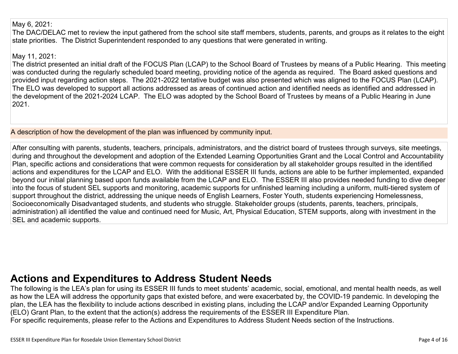### May 6, 2021:

The DAC/DELAC met to review the input gathered from the school site staff members, students, parents, and groups as it relates to the eight state priorities. The District Superintendent responded to any questions that were generated in writing.

### May 11, 2021:

The district presented an initial draft of the FOCUS Plan (LCAP) to the School Board of Trustees by means of a Public Hearing. This meeting was conducted during the regularly scheduled board meeting, providing notice of the agenda as required. The Board asked questions and provided input regarding action steps. The 2021-2022 tentative budget was also presented which was aligned to the FOCUS Plan (LCAP). The ELO was developed to support all actions addressed as areas of continued action and identified needs as identified and addressed in the development of the 2021-2024 LCAP. The ELO was adopted by the School Board of Trustees by means of a Public Hearing in June 2021.

A description of how the development of the plan was influenced by community input.

After consulting with parents, students, teachers, principals, administrators, and the district board of trustees through surveys, site meetings, during and throughout the development and adoption of the Extended Learning Opportunities Grant and the Local Control and Accountability Plan, specific actions and considerations that were common requests for consideration by all stakeholder groups resulted in the identified actions and expenditures for the LCAP and ELO. With the additional ESSER III funds, actions are able to be further implemented, expanded beyond our initial planning based upon funds available from the LCAP and ELO. The ESSER III also provides needed funding to dive deeper into the focus of student SEL supports and monitoring, academic supports for unfinished learning including a uniform, multi-tiered system of support throughout the district, addressing the unique needs of English Learners, Foster Youth, students experiencing Homelessness, Socioeconomically Disadvantaged students, and students who struggle. Stakeholder groups (students, parents, teachers, principals, administration) all identified the value and continued need for Music, Art, Physical Education, STEM supports, along with investment in the SEL and academic supports.

## **Actions and [Expenditures](#page-13-0) to Address Student Needs**

The following is the LEA's plan for using its ESSER III funds to meet students' academic, social, emotional, and mental health needs, as well as how the LEA will address the opportunity gaps that existed before, and were exacerbated by, the COVID-19 pandemic. In developing the plan, the LEA has the flexibility to include actions described in existing plans, including the LCAP and/or Expanded Learning Opportunity (ELO) Grant Plan, to the extent that the action(s) address the requirements of the ESSER III Expenditure Plan. For specific requirements, please refer to the Actions and Expenditures to Address Student Needs section of the Instructions.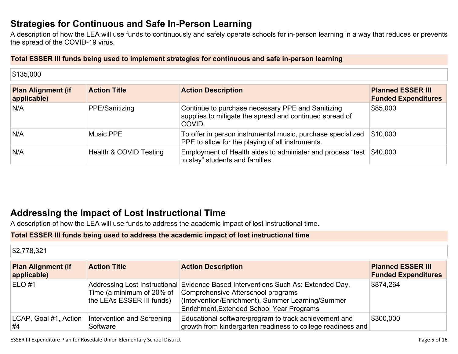## **Strategies for [Continuous](#page-13-1) and Safe In-Person Learning**

A description of how the LEA will use funds to continuously and safely operate schools for in-person learning in a way that reduces or prevents the spread of the COVID-19 virus.

### **Total ESSER III funds being used to implement strategies for continuous and safe in-person learning**

| <b>Plan Alignment (if</b><br>applicable) | <b>Action Title</b>    | <b>Action Description</b>                                                                                              | <b>Planned ESSER III</b><br><b>Funded Expenditures</b> |
|------------------------------------------|------------------------|------------------------------------------------------------------------------------------------------------------------|--------------------------------------------------------|
| N/A                                      | PPE/Sanitizing         | Continue to purchase necessary PPE and Sanitizing<br>supplies to mitigate the spread and continued spread of<br>COVID. | \$85,000                                               |
| N/A                                      | <b>Music PPE</b>       | To offer in person instrumental music, purchase specialized<br>PPE to allow for the playing of all instruments.        | \$10,000                                               |
| N/A                                      | Health & COVID Testing | Employment of Health aides to administer and process "test \$40,000<br>to stay" students and families.                 |                                                        |

## **Addressing the Impact of Lost [Instructional](#page-14-0) Tim[e](#page-14-0)**

A description of how the LEA will use funds to address the academic impact of lost instructional time.

### **Total ESSER III funds being used to address the academic impact of lost instructional time**

| \$2,778,321                              |                                                        |                                                                                                                                                                                                                           |                                                        |
|------------------------------------------|--------------------------------------------------------|---------------------------------------------------------------------------------------------------------------------------------------------------------------------------------------------------------------------------|--------------------------------------------------------|
| <b>Plan Alignment (if</b><br>applicable) | <b>Action Title</b>                                    | <b>Action Description</b>                                                                                                                                                                                                 | <b>Planned ESSER III</b><br><b>Funded Expenditures</b> |
| $ELO$ #1                                 | Time (a minimum of 20% of<br>the LEAs ESSER III funds) | Addressing Lost Instructional Evidence Based Interventions Such As: Extended Day,<br>Comprehensive Afterschool programs<br>(Intervention/Enrichment), Summer Learning/Summer<br>Enrichment, Extended School Year Programs | \$874,264                                              |
| LCAP, Goal #1, Action<br>#4              | Intervention and Screening<br>Software                 | Educational software/program to track achievement and<br>growth from kindergarten readiness to college readiness and                                                                                                      | \$300,000                                              |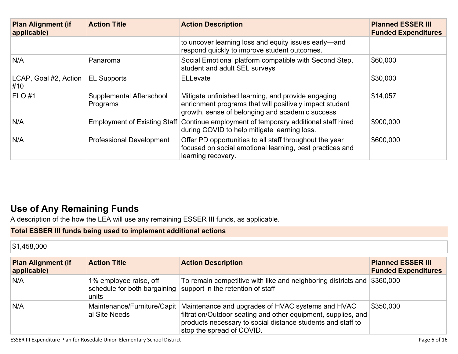| <b>Plan Alignment (if</b><br>applicable) | <b>Action Title</b>                  | <b>Action Description</b>                                                                                                                                        | <b>Planned ESSER III</b><br><b>Funded Expenditures</b> |
|------------------------------------------|--------------------------------------|------------------------------------------------------------------------------------------------------------------------------------------------------------------|--------------------------------------------------------|
|                                          |                                      | to uncover learning loss and equity issues early—and<br>respond quickly to improve student outcomes.                                                             |                                                        |
| N/A                                      | Panaroma                             | Social Emotional platform compatible with Second Step,<br>student and adult SEL surveys                                                                          | \$60,000                                               |
| LCAP, Goal #2, Action<br>#10             | <b>EL Supports</b>                   | <b>ELLevate</b>                                                                                                                                                  | \$30,000                                               |
| <b>ELO#1</b>                             | Supplemental Afterschool<br>Programs | Mitigate unfinished learning, and provide engaging<br>enrichment programs that will positively impact student<br>growth, sense of belonging and academic success | \$14,057                                               |
| N/A                                      | <b>Employment of Existing Staff</b>  | Continue employment of temporary additional staff hired<br>during COVID to help mitigate learning loss.                                                          | \$900,000                                              |
| N/A                                      | <b>Professional Development</b>      | Offer PD opportunities to all staff throughout the year<br>focused on social emotional learning, best practices and<br>learning recovery.                        | \$600,000                                              |

## **Use of Any [Remaining](#page-14-1) Fund[s](#page-14-1)**

A description of the how the LEA will use any remaining ESSER III funds, as applicable.

### **Total ESSER III funds being used to implement additional actions**

\$1,458,000

| <b>Plan Alignment (if</b><br>applicable) | <b>Action Title</b>             | <b>Action Description</b>                                                                                                                                                                                                                    | <b>Planned ESSER III</b><br><b>Funded Expenditures</b> |
|------------------------------------------|---------------------------------|----------------------------------------------------------------------------------------------------------------------------------------------------------------------------------------------------------------------------------------------|--------------------------------------------------------|
| N/A                                      | 1% employee raise, off<br>units | To remain competitive with like and neighboring districts and \$360,000<br>schedule for both bargaining support in the retention of staff                                                                                                    |                                                        |
| N/A                                      | al Site Needs                   | Maintenance/Furniture/Capit   Maintenance and upgrades of HVAC systems and HVAC<br>filtration/Outdoor seating and other equipment, supplies, and<br>products necessary to social distance students and staff to<br>stop the spread of COVID. | \$350,000                                              |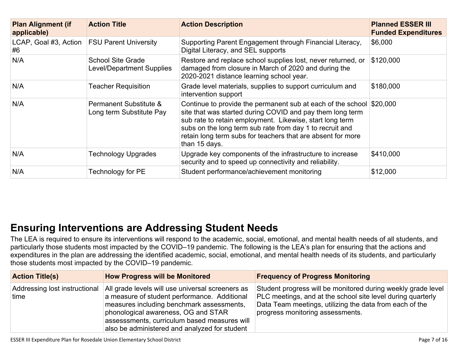| <b>Plan Alignment (if</b><br>applicable)            | <b>Action Title</b>                                          | <b>Action Description</b>                                                                                                                                                                                                                                                                                                                 | <b>Planned ESSER III</b><br><b>Funded Expenditures</b> |
|-----------------------------------------------------|--------------------------------------------------------------|-------------------------------------------------------------------------------------------------------------------------------------------------------------------------------------------------------------------------------------------------------------------------------------------------------------------------------------------|--------------------------------------------------------|
| LCAP, Goal #3, Action   FSU Parent University<br>#6 |                                                              | Supporting Parent Engagement through Financial Literacy,<br>Digital Literacy, and SEL supports                                                                                                                                                                                                                                            | \$6,000                                                |
| N/A                                                 | <b>School Site Grade</b><br><b>Level/Department Supplies</b> | Restore and replace school supplies lost, never returned, or<br>damaged from closure in March of 2020 and during the<br>2020-2021 distance learning school year.                                                                                                                                                                          | \$120,000                                              |
| N/A                                                 | <b>Teacher Requisition</b>                                   | Grade level materials, supplies to support curriculum and<br>intervention support                                                                                                                                                                                                                                                         | \$180,000                                              |
| N/A                                                 | Permanent Substitute &<br>Long term Substitute Pay           | Continue to provide the permanent sub at each of the school \$20,000<br>site that was started during COVID and pay them long term<br>sub rate to retain employment. Likewise, start long term<br>subs on the long term sub rate from day 1 to recruit and<br>retain long term subs for teachers that are absent for more<br>than 15 days. |                                                        |
| N/A                                                 | <b>Technology Upgrades</b>                                   | Upgrade key components of the infrastructure to increase<br>security and to speed up connectivity and reliability.                                                                                                                                                                                                                        | \$410,000                                              |
| N/A                                                 | Technology for PE                                            | Student performance/achievement monitoring                                                                                                                                                                                                                                                                                                | \$12,000                                               |

## **Ensuring [Interventions](#page-14-2) are Addressing Student Need[s](#page-14-2)**

The LEA is required to ensure its interventions will respond to the academic, social, emotional, and mental health needs of all students, and particularly those students most impacted by the COVID–19 pandemic. The following is the LEA's plan for ensuring that the actions and expenditures in the plan are addressing the identified academic, social, emotional, and mental health needs of its students, and particularly those students most impacted by the COVID–19 pandemic.

| <b>Action Title(s)</b>                | <b>How Progress will be Monitored</b>                                                                                                                                                                                                                                                 | <b>Frequency of Progress Monitoring</b>                                                                                                                                                                                    |
|---------------------------------------|---------------------------------------------------------------------------------------------------------------------------------------------------------------------------------------------------------------------------------------------------------------------------------------|----------------------------------------------------------------------------------------------------------------------------------------------------------------------------------------------------------------------------|
| Addressing lost instructional<br>time | All grade levels will use universal screeners as<br>a measure of student performance. Additional<br>measures including benchmark assessments,<br>phonological awareness, OG and STAR<br>assesssments, curriculum based measures will<br>also be administered and analyzed for student | Student progress will be monitored during weekly grade level<br>PLC meetings, and at the school site level during quarterly<br>Data Team meetings, utilizing the data from each of the<br>progress monitoring assessments. |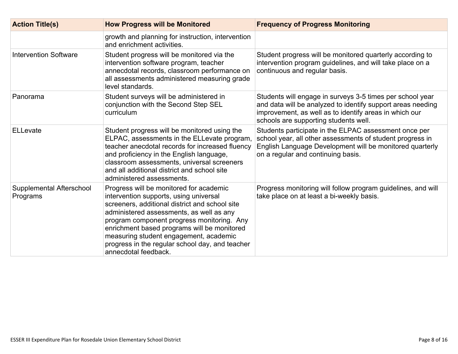| <b>Action Title(s)</b>               | <b>How Progress will be Monitored</b>                                                                                                                                                                                                                                                                                                                                                             | <b>Frequency of Progress Monitoring</b>                                                                                                                                                                                     |
|--------------------------------------|---------------------------------------------------------------------------------------------------------------------------------------------------------------------------------------------------------------------------------------------------------------------------------------------------------------------------------------------------------------------------------------------------|-----------------------------------------------------------------------------------------------------------------------------------------------------------------------------------------------------------------------------|
|                                      | growth and planning for instruction, intervention<br>and enrichment activities.                                                                                                                                                                                                                                                                                                                   |                                                                                                                                                                                                                             |
| <b>Intervention Software</b>         | Student progress will be monitored via the<br>intervention software program, teacher<br>annecdotal records, classroom performance on<br>all assessments administered measuring grade<br>level standards.                                                                                                                                                                                          | Student progress will be monitored quarterly according to<br>intervention program guidelines, and will take place on a<br>continuous and regular basis.                                                                     |
| Panorama                             | Student surveys will be administered in<br>conjunction with the Second Step SEL<br>curriculum                                                                                                                                                                                                                                                                                                     | Students will engage in surveys 3-5 times per school year<br>and data will be analyzed to identify support areas needing<br>improvement, as well as to identify areas in which our<br>schools are supporting students well. |
| <b>ELLevate</b>                      | Student progress will be monitored using the<br>ELPAC, assessments in the ELLevate program,<br>teacher anecdotal records for increased fluency<br>and proficiency in the English language,<br>classroom assessments, universal screeners<br>and all additional district and school site<br>administered assessments.                                                                              | Students participate in the ELPAC assessment once per<br>school year, all other assessments of student progress in<br>English Language Development will be monitored quarterly<br>on a regular and continuing basis.        |
| Supplemental Afterschool<br>Programs | Progress will be monitored for academic<br>intervention supports, using universal<br>screeners, additional district and school site<br>administered assessments, as well as any<br>program component progress monitoring. Any<br>enrichment based programs will be monitored<br>measuring student engagement, academic<br>progress in the regular school day, and teacher<br>annecdotal feedback. | Progress monitoring will follow program guidelines, and will<br>take place on at least a bi-weekly basis.                                                                                                                   |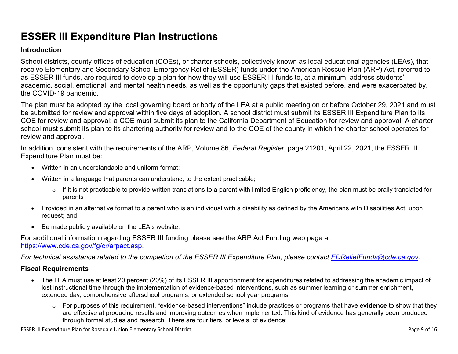## **ESSER III Expenditure Plan Instructions**

### **Introduction**

School districts, county offices of education (COEs), or charter schools, collectively known as local educational agencies (LEAs), that receive Elementary and Secondary School Emergency Relief (ESSER) funds under the American Rescue Plan (ARP) Act, referred to as ESSER III funds, are required to develop a plan for how they will use ESSER III funds to, at a minimum, address students' academic, social, emotional, and mental health needs, as well as the opportunity gaps that existed before, and were exacerbated by, the COVID-19 pandemic.

The plan must be adopted by the local governing board or body of the LEA at a public meeting on or before October 29, 2021 and must be submitted for review and approval within five days of adoption. A school district must submit its ESSER III Expenditure Plan to its COE for review and approval; a COE must submit its plan to the California Department of Education for review and approval. A charter school must submit its plan to its chartering authority for review and to the COE of the county in which the charter school operates for review and approval.

In addition, consistent with the requirements of the ARP, Volume 86, *Federal Register*, page 21201, April 22, 2021, the ESSER III Expenditure Plan must be:

- Written in an understandable and uniform format;
- Written in a language that parents can understand, to the extent practicable;
	- $\circ$  If it is not practicable to provide written translations to a parent with limited English proficiency, the plan must be orally translated for parents
- Provided in an alternative format to a parent who is an individual with a disability as defined by the Americans with Disabilities Act, upon request; and
- Be made publicly available on the LEA's website.

For additional information regarding ESSER III funding please see the ARP Act Funding web page at <https://www.cde.ca.gov/fg/cr/arpact.asp>.

For technical assistance related to the completion of the ESSER III Expenditure Plan, please contact [EDReliefFunds@cde.ca.gov](mailto:EDReliefFunds@cde.ca.gov).

### **Fiscal Requirements**

- The LEA must use at least 20 percent (20%) of its ESSER III apportionment for expenditures related to addressing the academic impact of lost instructional time through the implementation of evidence-based interventions, such as summer learning or summer enrichment, extended day, comprehensive afterschool programs, or extended school year programs.
	- o For purposes of this requirement, "evidence-based interventions" include practices or programs that have **evidence** to show that they are effective at producing results and improving outcomes when implemented. This kind of evidence has generally been produced through formal studies and research. There are four tiers, or levels, of evidence:

ESSER III Expenditure Plan for Rosedale Union Elementary School District **Page 10** and the state of 16 and the state 9 of 16 and the state 9 of 16 and the state 9 of 16 and the state 9 of 16 and the state 9 of 16 and the s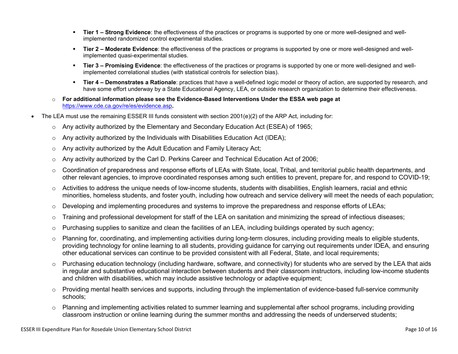- **Tier 1 – Strong Evidence**: the effectiveness of the practices or programs is supported by one or more well-designed and wellimplemented randomized control experimental studies.
- **Tier 2 – Moderate Evidence**: the effectiveness of the practices or programs is supported by one or more well-designed and wellimplemented quasi-experimental studies.
- **Tier 3 – Promising Evidence**: the effectiveness of the practices or programs is supported by one or more well-designed and wellimplemented correlational studies (with statistical controls for selection bias).
- **Tier 4 – Demonstrates a Rationale**: practices that have a well-defined logic model or theory of action, are supported by research, and have some effort underway by a State Educational Agency, LEA, or outside research organization to determine their effectiveness.
- o **For additional information please see the Evidence-Based Interventions Under the ESSA web page at** <https://www.cde.ca.gov/re/es/evidence.asp>**.**
- The LEA must use the remaining ESSER III funds consistent with section 2001(e)(2) of the ARP Act, including for:
	- $\circ$  Any activity authorized by the Elementary and Secondary Education Act (ESEA) of 1965;
	- $\circ$  Any activity authorized by the Individuals with Disabilities Education Act (IDEA);
	- o Any activity authorized by the Adult Education and Family Literacy Act;
	- $\circ$  Any activity authorized by the Carl D. Perkins Career and Technical Education Act of 2006;
	- $\circ$  Coordination of preparedness and response efforts of LEAs with State, local, Tribal, and territorial public health departments, and other relevant agencies, to improve coordinated responses among such entities to prevent, prepare for, and respond to COVID-19;
	- $\circ$  Activities to address the unique needs of low-income students, students with disabilities, English learners, racial and ethnic minorities, homeless students, and foster youth, including how outreach and service delivery will meet the needs of each population;
	- o Developing and implementing procedures and systems to improve the preparedness and response efforts of LEAs;
	- $\circ$  Training and professional development for staff of the LEA on sanitation and minimizing the spread of infectious diseases;
	- $\circ$  Purchasing supplies to sanitize and clean the facilities of an LEA, including buildings operated by such agency;
	- $\circ$  Planning for, coordinating, and implementing activities during long-term closures, including providing meals to eligible students, providing technology for online learning to all students, providing guidance for carrying out requirements under IDEA, and ensuring other educational services can continue to be provided consistent with all Federal, State, and local requirements;
	- $\circ$  Purchasing education technology (including hardware, software, and connectivity) for students who are served by the LEA that aids in regular and substantive educational interaction between students and their classroom instructors, including low-income students and children with disabilities, which may include assistive technology or adaptive equipment;
	- $\circ$  Providing mental health services and supports, including through the implementation of evidence-based full-service community schools;
	- o Planning and implementing activities related to summer learning and supplemental after school programs, including providing classroom instruction or online learning during the summer months and addressing the needs of underserved students;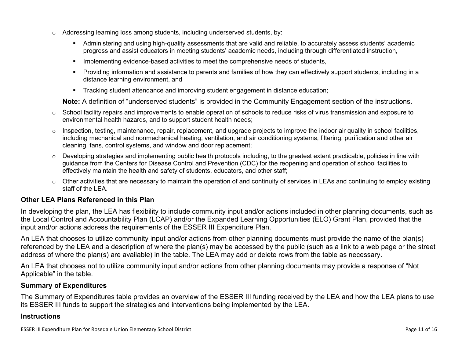- $\circ$  Addressing learning loss among students, including underserved students, by:
	- Administering and using high-quality assessments that are valid and reliable, to accurately assess students' academic progress and assist educators in meeting students' academic needs, including through differentiated instruction,
	- **IMPLEMENTER IMPLEMENT LIME STARK IMPLEMENT IMPLEMENT IMPLY** Implementing evidents,
	- Providing information and assistance to parents and families of how they can effectively support students, including in a distance learning environment, and
	- Tracking student attendance and improving student engagement in distance education;

**Note:** A definition of "underserved students" is provided in the Community Engagement section of the instructions.

- $\circ$  School facility repairs and improvements to enable operation of schools to reduce risks of virus transmission and exposure to environmental health hazards, and to support student health needs;
- $\circ$  Inspection, testing, maintenance, repair, replacement, and upgrade projects to improve the indoor air quality in school facilities, including mechanical and nonmechanical heating, ventilation, and air conditioning systems, filtering, purification and other air cleaning, fans, control systems, and window and door replacement;
- $\circ$  Developing strategies and implementing public health protocols including, to the greatest extent practicable, policies in line with guidance from the Centers for Disease Control and Prevention (CDC) for the reopening and operation of school facilities to effectively maintain the health and safety of students, educators, and other staff;
- $\circ$  Other activities that are necessary to maintain the operation of and continuity of services in LEAs and continuing to employ existing staff of the LEA.

### <span id="page-10-0"></span>**Other LEA Plans Referenced in this Plan**

In developing the plan, the LEA has flexibility to include community input and/or actions included in other planning documents, such as the Local Control and Accountability Plan (LCAP) and/or the Expanded Learning Opportunities (ELO) Grant Plan, provided that the input and/or actions address the requirements of the ESSER III Expenditure Plan.

An LEA that chooses to utilize community input and/or actions from other planning documents must provide the name of the plan(s) referenced by the LEA and a description of where the plan(s) may be accessed by the public (such as a link to a web page or the street address of where the plan(s) are available) in the table. The LEA may add or delete rows from the table as necessary.

An LEA that chooses not to utilize community input and/or actions from other planning documents may provide a response of "Not Applicable" in the table.

### <span id="page-10-1"></span>**Summary of Expenditures**

The Summary of Expenditures table provides an overview of the ESSER III funding received by the LEA and how the LEA plans to use its ESSER III funds to support the strategies and interventions being implemented by the LEA.

#### **Instructions**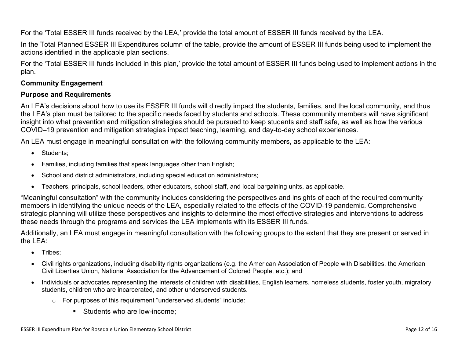For the 'Total ESSER III funds received by the LEA,' provide the total amount of ESSER III funds received by the LEA.

In the Total Planned ESSER III Expenditures column of the table, provide the amount of ESSER III funds being used to implement the actions identified in the applicable plan sections.

For the 'Total ESSER III funds included in this plan,' provide the total amount of ESSER III funds being used to implement actions in the plan.

### <span id="page-11-0"></span>**Community Engagement**

### **Purpose and Requirements**

An LEA's decisions about how to use its ESSER III funds will directly impact the students, families, and the local community, and thus the LEA's plan must be tailored to the specific needs faced by students and schools. These community members will have significant insight into what prevention and mitigation strategies should be pursued to keep students and staff safe, as well as how the various COVID–19 prevention and mitigation strategies impact teaching, learning, and day-to-day school experiences.

An LEA must engage in meaningful consultation with the following community members, as applicable to the LEA:

- Students:
- Families, including families that speak languages other than English;
- School and district administrators, including special education administrators;
- Teachers, principals, school leaders, other educators, school staff, and local bargaining units, as applicable.

"Meaningful consultation" with the community includes considering the perspectives and insights of each of the required community members in identifying the unique needs of the LEA, especially related to the effects of the COVID-19 pandemic. Comprehensive strategic planning will utilize these perspectives and insights to determine the most effective strategies and interventions to address these needs through the programs and services the LEA implements with its ESSER III funds.

Additionally, an LEA must engage in meaningful consultation with the following groups to the extent that they are present or served in the LEA:

- Tribes;
- Civil rights organizations, including disability rights organizations (e.g. the American Association of People with Disabilities, the American Civil Liberties Union, National Association for the Advancement of Colored People, etc.); and
- Individuals or advocates representing the interests of children with disabilities, English learners, homeless students, foster youth, migratory students, children who are incarcerated, and other underserved students.
	- o For purposes of this requirement "underserved students" include:
		- **Students who are low-income:**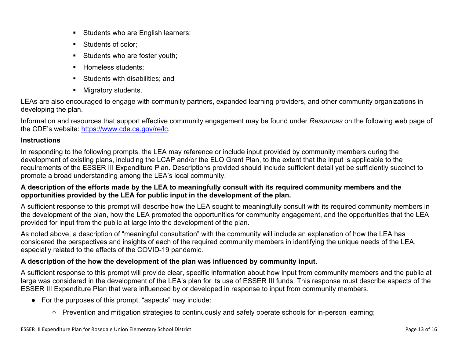- Students who are English learners;
- Students of color:
- Students who are foster youth;
- Homeless students;
- **Students with disabilities: and**
- **Migratory students.**

LEAs are also encouraged to engage with community partners, expanded learning providers, and other community organizations in developing the plan.

Information and resources that support effective community engagement may be found under *Resources* on the following web page of the CDE's website: <https://www.cde.ca.gov/re/lc>.

### **Instructions**

In responding to the following prompts, the LEA may reference or include input provided by community members during the development of existing plans, including the LCAP and/or the ELO Grant Plan, to the extent that the input is applicable to the requirements of the ESSER III Expenditure Plan. Descriptions provided should include sufficient detail yet be sufficiently succinct to promote a broad understanding among the LEA's local community.

### A description of the efforts made by the LEA to meaningfully consult with its required community members and the **opportunities provided by the LEA for public input in the development of the plan.**

A sufficient response to this prompt will describe how the LEA sought to meaningfully consult with its required community members in the development of the plan, how the LEA promoted the opportunities for community engagement, and the opportunities that the LEA provided for input from the public at large into the development of the plan.

As noted above, a description of "meaningful consultation" with the community will include an explanation of how the LEA has considered the perspectives and insights of each of the required community members in identifying the unique needs of the LEA, especially related to the effects of the COVID-19 pandemic.

### **A description of the how the development of the plan was influenced by community input.**

A sufficient response to this prompt will provide clear, specific information about how input from community members and the public at large was considered in the development of the LEA's plan for its use of ESSER III funds. This response must describe aspects of the ESSER III Expenditure Plan that were influenced by or developed in response to input from community members.

- For the purposes of this prompt, "aspects" may include:
	- Prevention and mitigation strategies to continuously and safely operate schools for in-person learning;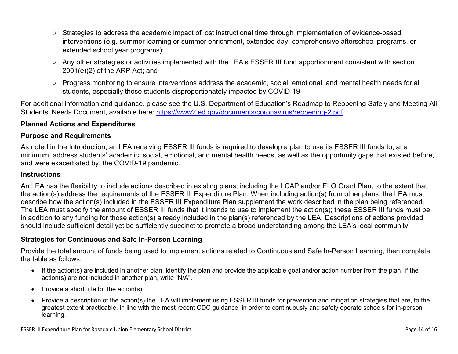- Strategies to address the academic impact of lost instructional time through implementation of evidence-based interventions (e.g. summer learning or summer enrichment, extended day, comprehensive afterschool programs, or extended school year programs);
- Any other strategies or activities implemented with the LEA's ESSER III fund apportionment consistent with section 2001(e)(2) of the ARP Act; and
- Progress monitoring to ensure interventions address the academic, social, emotional, and mental health needs for all students, especially those students disproportionately impacted by COVID-19

For additional information and guidance, please see the U.S. Department of Education's Roadmap to Reopening Safely and Meeting All Students' Needs Document, available here: [https://www2.ed.gov/documents/coronavirus/reopening-2.pdf.](https://www2.ed.gov/documents/coronavirus/reopening-2.pdf)

### <span id="page-13-0"></span>**Planned Actions and Expenditures**

### **Purpose and Requirements**

As noted in the Introduction, an LEA receiving ESSER III funds is required to develop a plan to use its ESSER III funds to, at a minimum, address students' academic, social, emotional, and mental health needs, as well as the opportunity gaps that existed before, and were exacerbated by, the COVID-19 pandemic.

### **Instructions**

An LEA has the flexibility to include actions described in existing plans, including the LCAP and/or ELO Grant Plan, to the extent that the action(s) address the requirements of the ESSER III Expenditure Plan. When including action(s) from other plans, the LEA must describe how the action(s) included in the ESSER III Expenditure Plan supplement the work described in the plan being referenced. The LEA must specify the amount of ESSER III funds that it intends to use to implement the action(s); these ESSER III funds must be in addition to any funding for those action(s) already included in the plan(s) referenced by the LEA. Descriptions of actions provided should include sufficient detail yet be sufficiently succinct to promote a broad understanding among the LEA's local community.

### <span id="page-13-1"></span>**Strategies for Continuous and Safe In-Person Learning**

Provide the total amount of funds being used to implement actions related to Continuous and Safe In-Person Learning, then complete the table as follows:

- If the action(s) are included in another plan, identify the plan and provide the applicable goal and/or action number from the plan. If the action(s) are not included in another plan, write "N/A".
- Provide a short title for the  $action(s)$ .
- Provide a description of the action(s) the LEA will implement using ESSER III funds for prevention and mitigation strategies that are, to the greatest extent practicable, in line with the most recent CDC guidance, in order to continuously and safely operate schools for in-person learning.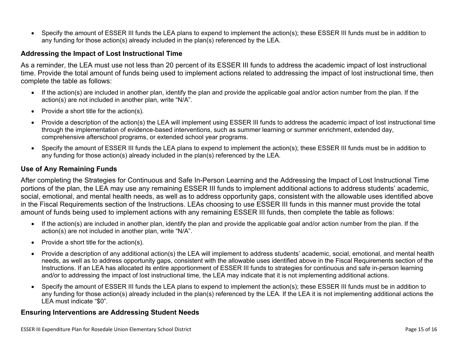Specify the amount of ESSER III funds the LEA plans to expend to implement the action(s); these ESSER III funds must be in addition to any funding for those action(s) already included in the plan(s) referenced by the LEA.

### <span id="page-14-0"></span>**Addressing the Impact of Lost Instructional Time**

As a reminder, the LEA must use not less than 20 percent of its ESSER III funds to address the academic impact of lost instructional time. Provide the total amount of funds being used to implement actions related to addressing the impact of lost instructional time, then complete the table as follows:

- If the action(s) are included in another plan, identify the plan and provide the applicable goal and/or action number from the plan. If the action(s) are not included in another plan, write "N/A".
- Provide a short title for the  $action(s)$ .
- Provide a description of the action(s) the LEA will implement using ESSER III funds to address the academic impact of lost instructional time through the implementation of evidence-based interventions, such as summer learning or summer enrichment, extended day, comprehensive afterschool programs, or extended school year programs.
- Specify the amount of ESSER III funds the LEA plans to expend to implement the action(s); these ESSER III funds must be in addition to any funding for those action(s) already included in the plan(s) referenced by the LEA.

#### <span id="page-14-1"></span>**Use of Any Remaining Funds**

After completing the Strategies for Continuous and Safe In-Person Learning and the Addressing the Impact of Lost Instructional Time portions of the plan, the LEA may use any remaining ESSER III funds to implement additional actions to address students' academic, social, emotional, and mental health needs, as well as to address opportunity gaps, consistent with the allowable uses identified above in the Fiscal Requirements section of the Instructions. LEAs choosing to use ESSER III funds in this manner must provide the total amount of funds being used to implement actions with any remaining ESSER III funds, then complete the table as follows:

- If the action(s) are included in another plan, identify the plan and provide the applicable goal and/or action number from the plan. If the action(s) are not included in another plan, write "N/A".
- Provide a short title for the  $action(s)$ .
- Provide a description of any additional action(s) the LEA will implement to address students' academic, social, emotional, and mental health needs, as well as to address opportunity gaps, consistent with the allowable uses identified above in the Fiscal Requirements section of the Instructions. If an LEA has allocated its entire apportionment of ESSER III funds to strategies for continuous and safe in-person learning and/or to addressing the impact of lost instructional time, the LEA may indicate that it is not implementing additional actions.
- Specify the amount of ESSER III funds the LEA plans to expend to implement the action(s); these ESSER III funds must be in addition to any funding for those action(s) already included in the plan(s) referenced by the LEA. If the LEA it is not implementing additional actions the LEA must indicate "\$0".

#### <span id="page-14-2"></span>**Ensuring Interventions are Addressing Student Needs**